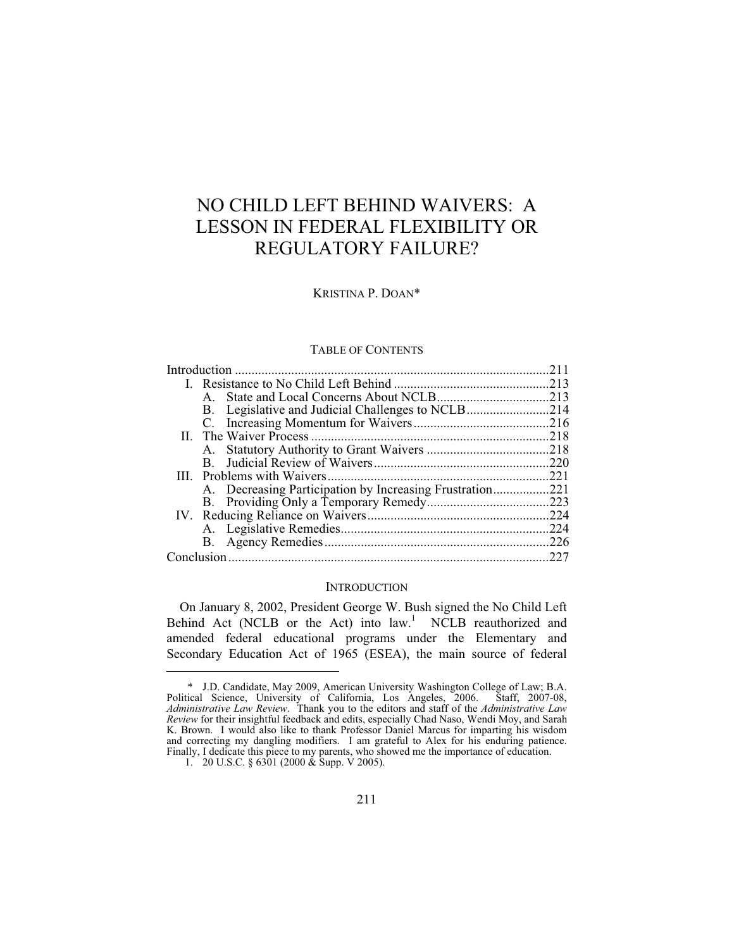# NO CHILD LEFT BEHIND WAIVERS: A LESSON IN FEDERAL FLEXIBILITY OR REGULATORY FAILURE?

# KRISTINA P. DOAN\*

# TABLE OF CONTENTS

|  | $A_{\cdot}$ |                                                          |  |
|--|-------------|----------------------------------------------------------|--|
|  |             | B. Legislative and Judicial Challenges to NCLB214        |  |
|  |             |                                                          |  |
|  |             |                                                          |  |
|  |             |                                                          |  |
|  |             |                                                          |  |
|  |             |                                                          |  |
|  |             | A. Decreasing Participation by Increasing Frustration221 |  |
|  |             |                                                          |  |
|  |             |                                                          |  |
|  |             |                                                          |  |
|  |             |                                                          |  |
|  |             |                                                          |  |
|  |             |                                                          |  |

### **INTRODUCTION**

On January 8, 2002, President George W. Bush signed the No Child Left Behind Act (NCLB or the Act) into law.<sup>1</sup> NCLB reauthorized and amended federal educational programs under the Elementary and Secondary Education Act of 1965 (ESEA), the main source of federal

 $\overline{a}$ 

 <sup>\*</sup> J.D. Candidate, May 2009, American University Washington College of Law; B.A. Political Science, University of California, Los Angeles, 2006. Staff, 2007-08, *Administrative Law Review*. Thank you to the editors and staff of the *Administrative Law Review* for their insightful feedback and edits, especially Chad Naso, Wendi Moy, and Sarah K. Brown. I would also like to thank Professor Daniel Marcus for imparting his wisdom and correcting my dangling modifiers. I am grateful to Alex for his enduring patience. Finally, I dedicate this piece to my parents, who showed me the importance of education.

 <sup>1. 20</sup> U.S.C. § 6301 (2000 & Supp. V 2005).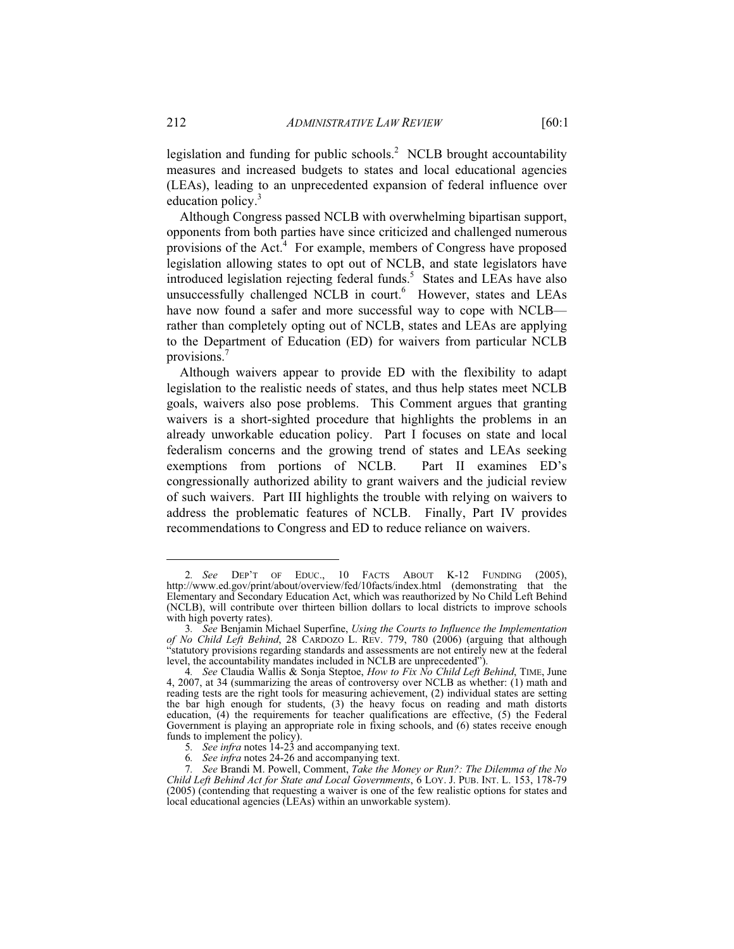legislation and funding for public schools.<sup>2</sup> NCLB brought accountability measures and increased budgets to states and local educational agencies (LEAs), leading to an unprecedented expansion of federal influence over education policy.<sup>3</sup>

Although Congress passed NCLB with overwhelming bipartisan support, opponents from both parties have since criticized and challenged numerous provisions of the Act.<sup>4</sup> For example, members of Congress have proposed legislation allowing states to opt out of NCLB, and state legislators have introduced legislation rejecting federal funds.<sup>5</sup> States and LEAs have also unsuccessfully challenged NCLB in court.<sup>6</sup> However, states and LEAs have now found a safer and more successful way to cope with NCLB rather than completely opting out of NCLB, states and LEAs are applying to the Department of Education (ED) for waivers from particular NCLB provisions.7

Although waivers appear to provide ED with the flexibility to adapt legislation to the realistic needs of states, and thus help states meet NCLB goals, waivers also pose problems. This Comment argues that granting waivers is a short-sighted procedure that highlights the problems in an already unworkable education policy. Part I focuses on state and local federalism concerns and the growing trend of states and LEAs seeking exemptions from portions of NCLB. Part II examines ED's congressionally authorized ability to grant waivers and the judicial review of such waivers. Part III highlights the trouble with relying on waivers to address the problematic features of NCLB. Finally, Part IV provides recommendations to Congress and ED to reduce reliance on waivers.

<sup>2</sup>*. See* DEP'T OF EDUC., 10 FACTS ABOUT K-12 FUNDING (2005), http://www.ed.gov/print/about/overview/fed/10facts/index.html (demonstrating that the Elementary and Secondary Education Act, which was reauthorized by No Child Left Behind (NCLB), will contribute over thirteen billion dollars to local districts to improve schools with high poverty rates).

<sup>3</sup>*. See* Benjamin Michael Superfine, *Using the Courts to Influence the Implementation of No Child Left Behind*, 28 CARDOZO L. REV. 779, 780 (2006) (arguing that although "statutory provisions regarding standards and assessments are not entirely new at the federal level, the accountability mandates included in NCLB are unprecedented").

<sup>4</sup>*. See* Claudia Wallis & Sonja Steptoe, *How to Fix No Child Left Behind*, TIME, June 4, 2007, at 34 (summarizing the areas of controversy over NCLB as whether: (1) math and reading tests are the right tools for measuring achievement, (2) individual states are setting the bar high enough for students, (3) the heavy focus on reading and math distorts education, (4) the requirements for teacher qualifications are effective, (5) the Federal Government is playing an appropriate role in fixing schools, and (6) states receive enough funds to implement the policy).

<sup>5</sup>*. See infra* notes 14-23 and accompanying text.

<sup>6</sup>*. See infra* notes 24-26 and accompanying text.

<sup>7</sup>*. See* Brandi M. Powell, Comment, *Take the Money or Run?: The Dilemma of the No Child Left Behind Act for State and Local Governments*, 6 LOY. J. PUB. INT. L. 153, 178-79 (2005) (contending that requesting a waiver is one of the few realistic options for states and local educational agencies (LEAs) within an unworkable system).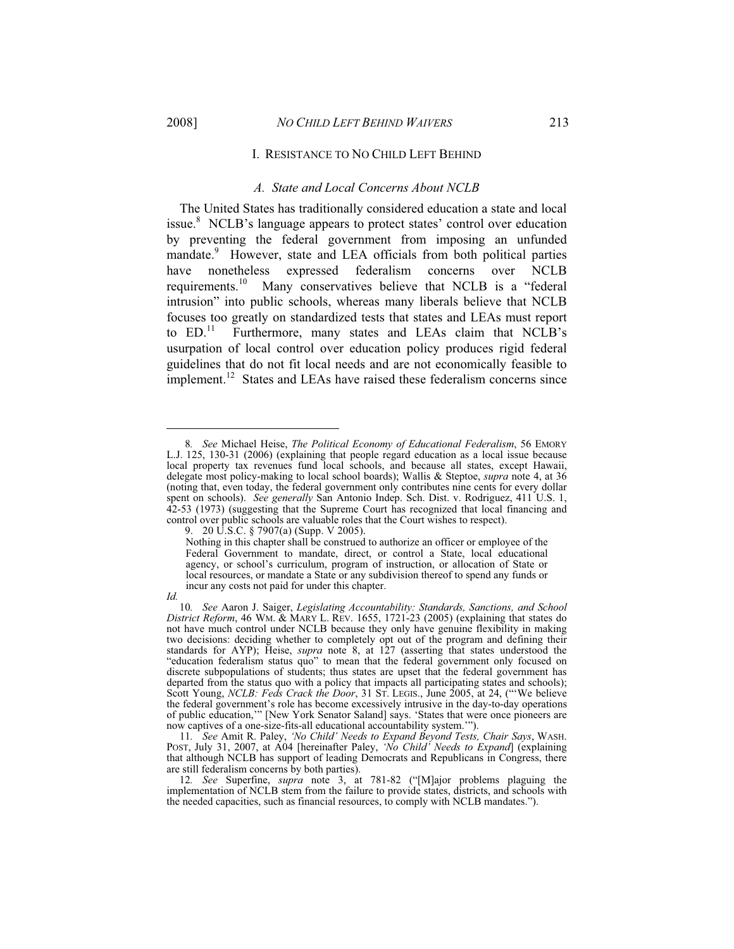#### I. RESISTANCE TO NO CHILD LEFT BEHIND

### *A. State and Local Concerns About NCLB*

The United States has traditionally considered education a state and local issue.<sup>8</sup> NCLB's language appears to protect states' control over education by preventing the federal government from imposing an unfunded mandate.<sup>9</sup> However, state and LEA officials from both political parties have nonetheless expressed federalism concerns over NCLB requirements.10 Many conservatives believe that NCLB is a "federal intrusion" into public schools, whereas many liberals believe that NCLB focuses too greatly on standardized tests that states and LEAs must report to ED.<sup>11</sup> Furthermore, many states and LEAs claim that NCLB's usurpation of local control over education policy produces rigid federal guidelines that do not fit local needs and are not economically feasible to implement.<sup>12</sup> States and LEAs have raised these federalism concerns since

9. 20 U.S.C. § 7907(a) (Supp. V 2005).

 $\overline{a}$ 

<sup>8</sup>*. See* Michael Heise, *The Political Economy of Educational Federalism*, 56 EMORY L.J. 125, 130-31 (2006) (explaining that people regard education as a local issue because local property tax revenues fund local schools, and because all states, except Hawaii, delegate most policy-making to local school boards); Wallis & Steptoe, *supra* note 4, at 36 (noting that, even today, the federal government only contributes nine cents for every dollar spent on schools). *See generally* San Antonio Indep. Sch. Dist. v. Rodriguez, 411 U.S. 1, 42-53 (1973) (suggesting that the Supreme Court has recognized that local financing and control over public schools are valuable roles that the Court wishes to respect).

Nothing in this chapter shall be construed to authorize an officer or employee of the Federal Government to mandate, direct, or control a State, local educational agency, or school's curriculum, program of instruction, or allocation of State or local resources, or mandate a State or any subdivision thereof to spend any funds or incur any costs not paid for under this chapter.

*Id.*

<sup>10</sup>*. See* Aaron J. Saiger, *Legislating Accountability: Standards, Sanctions, and School District Reform*, 46 WM. & MARY L. REV. 1655, 1721-23 (2005) (explaining that states do not have much control under NCLB because they only have genuine flexibility in making two decisions: deciding whether to completely opt out of the program and defining their standards for AYP); Heise, *supra* note 8, at 127 (asserting that states understood the "education federalism status quo" to mean that the federal government only focused on discrete subpopulations of students; thus states are upset that the federal government has departed from the status quo with a policy that impacts all participating states and schools); Scott Young, *NCLB: Feds Crack the Door*, 31 ST. LEGIS., June 2005, at 24, ("'We believe the federal government's role has become excessively intrusive in the day-to-day operations of public education,'" [New York Senator Saland] says. 'States that were once pioneers are now captives of a one-size-fits-all educational accountability system.'").

<sup>11</sup>*. See* Amit R. Paley, *'No Child' Needs to Expand Beyond Tests, Chair Says*, WASH. POST, July 31, 2007, at A04 [hereinafter Paley, *'No Child' Needs to Expand*] (explaining that although NCLB has support of leading Democrats and Republicans in Congress, there are still federalism concerns by both parties).

<sup>12</sup>*. See* Superfine, *supra* note 3, at 781-82 ("[M]ajor problems plaguing the implementation of NCLB stem from the failure to provide states, districts, and schools with the needed capacities, such as financial resources, to comply with NCLB mandates.").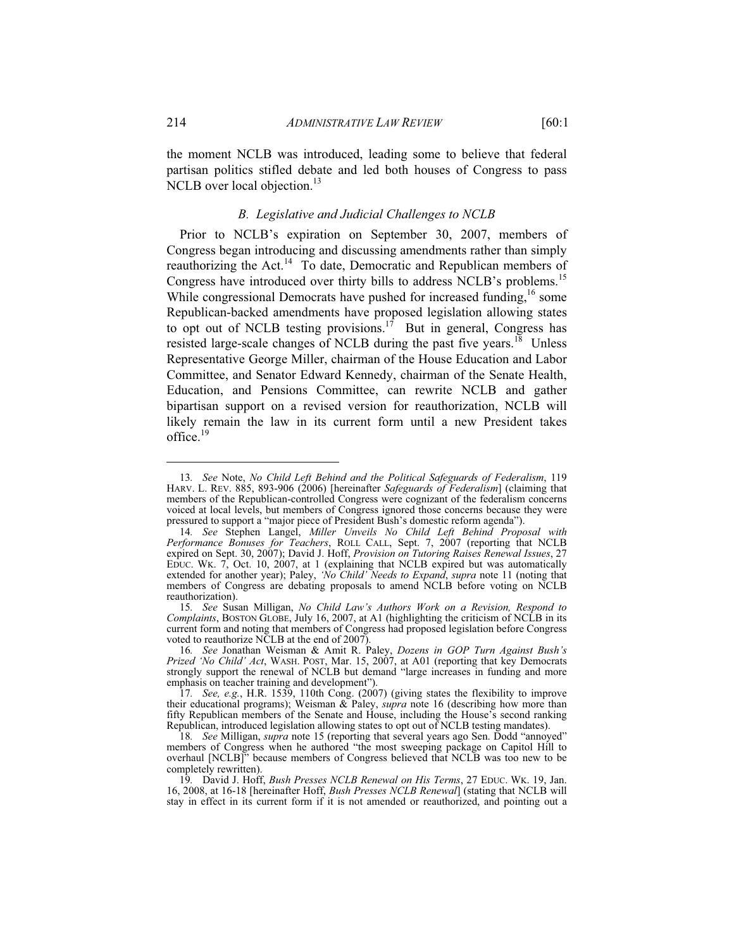the moment NCLB was introduced, leading some to believe that federal partisan politics stifled debate and led both houses of Congress to pass NCLB over local objection.<sup>13</sup>

### *B. Legislative and Judicial Challenges to NCLB*

Prior to NCLB's expiration on September 30, 2007, members of Congress began introducing and discussing amendments rather than simply reauthorizing the Act.<sup>14</sup> To date, Democratic and Republican members of Congress have introduced over thirty bills to address NCLB's problems.<sup>15</sup> While congressional Democrats have pushed for increased funding,<sup>16</sup> some Republican-backed amendments have proposed legislation allowing states to opt out of NCLB testing provisions.<sup>17</sup> But in general, Congress has resisted large-scale changes of NCLB during the past five years.<sup>18</sup> Unless Representative George Miller, chairman of the House Education and Labor Committee, and Senator Edward Kennedy, chairman of the Senate Health, Education, and Pensions Committee, can rewrite NCLB and gather bipartisan support on a revised version for reauthorization, NCLB will likely remain the law in its current form until a new President takes office.<sup>19</sup>

<sup>13</sup>*. See* Note, *No Child Left Behind and the Political Safeguards of Federalism*, 119 HARV. L. REV. 885, 893-906 (2006) [hereinafter *Safeguards of Federalism*] (claiming that members of the Republican-controlled Congress were cognizant of the federalism concerns voiced at local levels, but members of Congress ignored those concerns because they were pressured to support a "major piece of President Bush's domestic reform agenda").

<sup>14</sup>*. See* Stephen Langel, *Miller Unveils No Child Left Behind Proposal with Performance Bonuses for Teachers*, ROLL CALL, Sept. 7, 2007 (reporting that NCLB expired on Sept. 30, 2007); David J. Hoff, *Provision on Tutoring Raises Renewal Issues*, 27 EDUC. WK. 7, Oct. 10, 2007, at 1 (explaining that NCLB expired but was automatically extended for another year); Paley, *'No Child' Needs to Expand*, *supra* note 11 (noting that members of Congress are debating proposals to amend NCLB before voting on NCLB reauthorization).

<sup>15</sup>*. See* Susan Milligan, *No Child Law's Authors Work on a Revision, Respond to Complaints*, BOSTON GLOBE, July 16, 2007, at A1 (highlighting the criticism of NCLB in its current form and noting that members of Congress had proposed legislation before Congress voted to reauthorize NCLB at the end of 2007).

<sup>16</sup>*. See* Jonathan Weisman & Amit R. Paley, *Dozens in GOP Turn Against Bush's Prized 'No Child' Act*, WASH. POST, Mar. 15, 2007, at A01 (reporting that key Democrats strongly support the renewal of NCLB but demand "large increases in funding and more emphasis on teacher training and development").

<sup>17</sup>*. See, e.g.*, H.R. 1539, 110th Cong. (2007) (giving states the flexibility to improve their educational programs); Weisman & Paley, *supra* note 16 (describing how more than fifty Republican members of the Senate and House, including the House's second ranking Republican, introduced legislation allowing states to opt out of NCLB testing mandates).

<sup>18</sup>*. See* Milligan, *supra* note 15 (reporting that several years ago Sen. Dodd "annoyed" members of Congress when he authored "the most sweeping package on Capitol Hill to overhaul [NCLB]" because members of Congress believed that NCLB was too new to be completely rewritten).

<sup>19</sup>*.* David J. Hoff, *Bush Presses NCLB Renewal on His Terms*, 27 EDUC. WK. 19, Jan. 16, 2008, at 16-18 [hereinafter Hoff, *Bush Presses NCLB Renewal*] (stating that NCLB will stay in effect in its current form if it is not amended or reauthorized, and pointing out a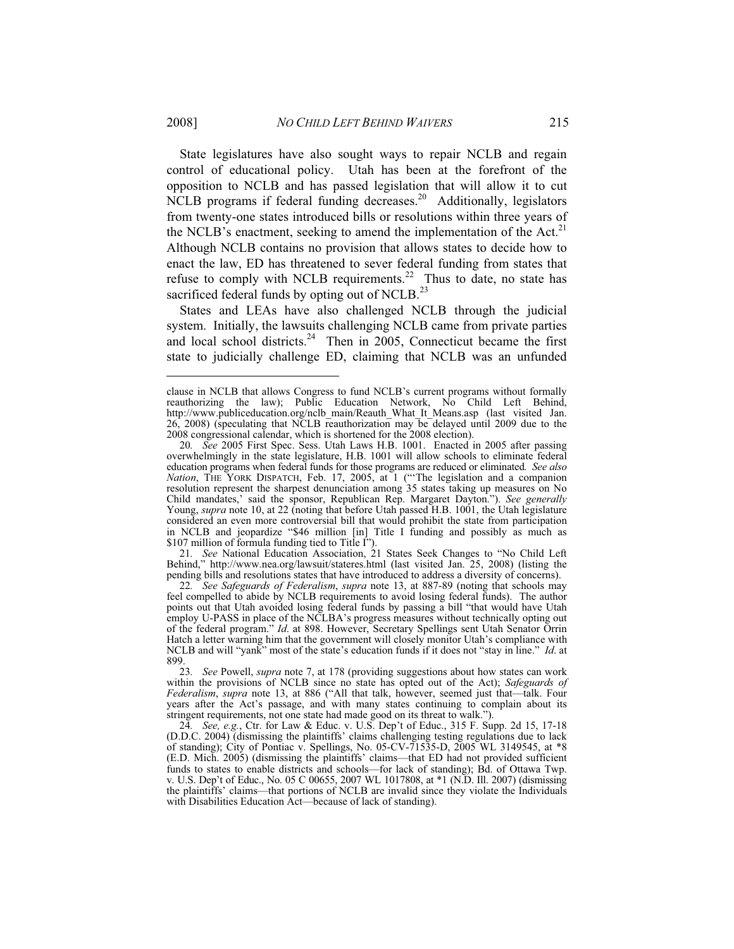State legislatures have also sought ways to repair NCLB and regain control of educational policy. Utah has been at the forefront of the opposition to NCLB and has passed legislation that will allow it to cut NCLB programs if federal funding decreases.<sup>20</sup> Additionally, legislators from twenty-one states introduced bills or resolutions within three years of the NCLB's enactment, seeking to amend the implementation of the Act. $^{21}$ Although NCLB contains no provision that allows states to decide how to enact the law, ED has threatened to sever federal funding from states that refuse to comply with NCLB requirements.<sup>22</sup> Thus to date, no state has sacrificed federal funds by opting out of NCLB.<sup>23</sup>

States and LEAs have also challenged NCLB through the judicial system. Initially, the lawsuits challenging NCLB came from private parties and local school districts.<sup>24</sup> Then in 2005, Connecticut became the first state to judicially challenge ED, claiming that NCLB was an unfunded

21*. See* National Education Association, 21 States Seek Changes to "No Child Left Behind," http://www.nea.org/lawsuit/stateres.html (last visited Jan. 25, 2008) (listing the pending bills and resolutions states that have introduced to address a diversity of concerns).

22*. See Safeguards of Federalism*, *supra* note 13, at 887-89 (noting that schools may feel compelled to abide by NCLB requirements to avoid losing federal funds). The author points out that Utah avoided losing federal funds by passing a bill "that would have Utah employ U-PASS in place of the NCLBA's progress measures without technically opting out of the federal program." *Id*. at 898. However, Secretary Spellings sent Utah Senator Orrin Hatch a letter warning him that the government will closely monitor Utah's compliance with NCLB and will "yank" most of the state's education funds if it does not "stay in line." *Id*. at 899.

clause in NCLB that allows Congress to fund NCLB's current programs without formally reauthorizing the law); Public Education Network, No Child Left Behind, http://www.publiceducation.org/nclb\_main/Reauth\_What\_It\_Means.asp (last visited Jan. 26, 2008) (speculating that NCLB reauthorization may be delayed until 2009 due to the 2008 congressional calendar, which is shortened for the 2008 election).

<sup>20</sup>*. See* 2005 First Spec. Sess. Utah Laws H.B. 1001. Enacted in 2005 after passing overwhelmingly in the state legislature, H.B. 1001 will allow schools to eliminate federal education programs when federal funds for those programs are reduced or eliminated*. See also Nation*, THE YORK DISPATCH, Feb. 17, 2005, at 1 ("The legislation and a companion resolution represent the sharpest denunciation among 35 states taking up measures on No Child mandates,' said the sponsor, Republican Rep. Margaret Dayton."). *See generally* Young, *supra* note 10, at 22 (noting that before Utah passed H.B. 1001, the Utah legislature considered an even more controversial bill that would prohibit the state from participation in NCLB and jeopardize "\$46 million [in] Title I funding and possibly as much as \$107 million of formula funding tied to Title I").

<sup>23</sup>*. See* Powell, *supra* note 7, at 178 (providing suggestions about how states can work within the provisions of NCLB since no state has opted out of the Act); *Safeguards of Federalism*, *supra* note 13, at 886 ("All that talk, however, seemed just that—talk. Four years after the Act's passage, and with many states continuing to complain about its stringent requirements, not one state had made good on its threat to walk.").

<sup>24</sup>*. See, e.g.*, Ctr. for Law & Educ. v. U.S. Dep't of Educ., 315 F. Supp. 2d 15, 17-18 (D.D.C. 2004) (dismissing the plaintiffs' claims challenging testing regulations due to lack of standing); City of Pontiac v. Spellings, No. 05-CV-71535-D, 2005 WL 3149545, at \*8 (E.D. Mich. 2005) (dismissing the plaintiffs' claims—that ED had not provided sufficient funds to states to enable districts and schools—for lack of standing); Bd. of Ottawa Twp. v. U.S. Dep't of Educ., No. 05 C 00655, 2007 WL 1017808, at \*1 (N.D. Ill. 2007) (dismissing the plaintiffs' claims—that portions of NCLB are invalid since they violate the Individuals with Disabilities Education Act—because of lack of standing).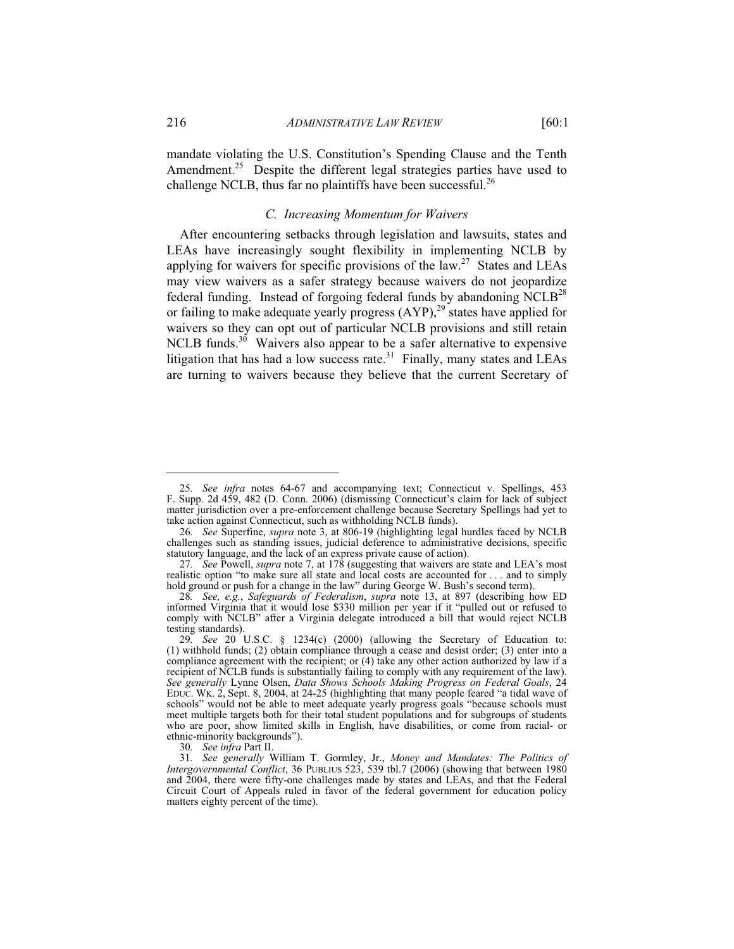mandate violating the U.S. Constitution's Spending Clause and the Tenth Amendment.<sup>25</sup> Despite the different legal strategies parties have used to challenge NCLB, thus far no plaintiffs have been successful.<sup>26</sup>

# *C. Increasing Momentum for Waivers*

After encountering setbacks through legislation and lawsuits, states and LEAs have increasingly sought flexibility in implementing NCLB by applying for waivers for specific provisions of the law.<sup>27</sup> States and LEAs may view waivers as a safer strategy because waivers do not jeopardize federal funding. Instead of forgoing federal funds by abandoning  $NCLB<sup>28</sup>$ or failing to make adequate yearly progress  $(AYP)$ ,<sup>29</sup> states have applied for waivers so they can opt out of particular NCLB provisions and still retain NCLB funds.<sup>30</sup> Waivers also appear to be a safer alternative to expensive litigation that has had a low success rate. $31$  Finally, many states and LEAs are turning to waivers because they believe that the current Secretary of

30*. See infra* Part II.

<sup>25</sup>*. See infra* notes 64-67 and accompanying text; Connecticut v. Spellings, 453 F. Supp. 2d 459, 482 (D. Conn. 2006) (dismissing Connecticut's claim for lack of subject matter jurisdiction over a pre-enforcement challenge because Secretary Spellings had yet to take action against Connecticut, such as withholding NCLB funds).

<sup>26</sup>*. See* Superfine, *supra* note 3, at 806-19 (highlighting legal hurdles faced by NCLB challenges such as standing issues, judicial deference to administrative decisions, specific statutory language, and the lack of an express private cause of action).

<sup>27</sup>*. See* Powell, *supra* note 7, at 178 (suggesting that waivers are state and LEA's most realistic option "to make sure all state and local costs are accounted for . . . and to simply hold ground or push for a change in the law" during George W. Bush's second term).

<sup>28</sup>*. See, e.g.*, *Safeguards of Federalism*, *supra* note 13, at 897 (describing how ED informed Virginia that it would lose \$330 million per year if it "pulled out or refused to comply with NCLB" after a Virginia delegate introduced a bill that would reject NCLB testing standards).

<sup>29</sup>*. See* 20 U.S.C. § 1234(c) (2000) (allowing the Secretary of Education to: (1) withhold funds; (2) obtain compliance through a cease and desist order; (3) enter into a compliance agreement with the recipient; or (4) take any other action authorized by law if a recipient of NCLB funds is substantially failing to comply with any requirement of the law). *See generally* Lynne Olsen, *Data Shows Schools Making Progress on Federal Goals*, 24 EDUC. WK. 2, Sept. 8, 2004, at 24-25 (highlighting that many people feared "a tidal wave of schools" would not be able to meet adequate yearly progress goals "because schools must meet multiple targets both for their total student populations and for subgroups of students who are poor, show limited skills in English, have disabilities, or come from racial- or ethnic-minority backgrounds").

<sup>31</sup>*. See generally* William T. Gormley, Jr., *Money and Mandates: The Politics of Intergovernmental Conflict*, 36 PUBLIUS 523, 539 tbl.7 (2006) (showing that between 1980 and 2004, there were fifty-one challenges made by states and LEAs, and that the Federal Circuit Court of Appeals ruled in favor of the federal government for education policy matters eighty percent of the time).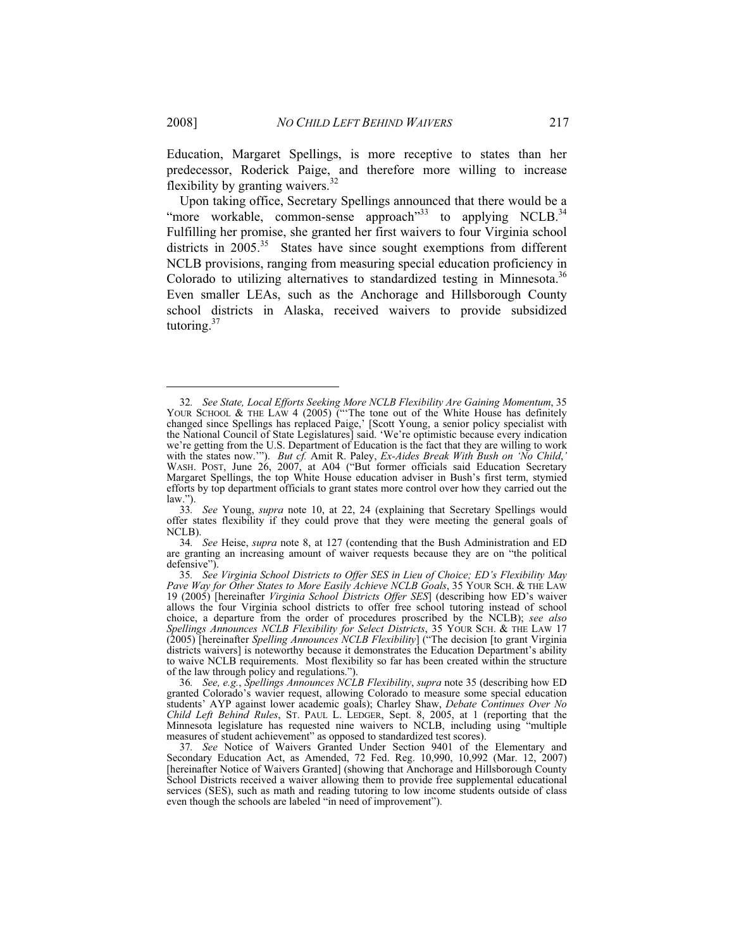Education, Margaret Spellings, is more receptive to states than her predecessor, Roderick Paige, and therefore more willing to increase flexibility by granting waivers.<sup>32</sup>

Upon taking office, Secretary Spellings announced that there would be a "more workable, common-sense approach"<sup>33</sup> to applying NCLB.<sup>34</sup> Fulfilling her promise, she granted her first waivers to four Virginia school districts in  $2005$ <sup>35</sup> States have since sought exemptions from different NCLB provisions, ranging from measuring special education proficiency in Colorado to utilizing alternatives to standardized testing in Minnesota.<sup>36</sup> Even smaller LEAs, such as the Anchorage and Hillsborough County school districts in Alaska, received waivers to provide subsidized tutoring.<sup>37</sup>

34*. See* Heise, *supra* note 8, at 127 (contending that the Bush Administration and ED are granting an increasing amount of waiver requests because they are on "the political defensive").

<sup>32</sup>*. See State, Local Efforts Seeking More NCLB Flexibility Are Gaining Momentum*, 35 YOUR SCHOOL  $\&$  THE LAW 4 (2005) ("The tone out of the White House has definitely changed since Spellings has replaced Paige,' [Scott Young, a senior policy specialist with the National Council of State Legislatures] said. 'We're optimistic because every indication we're getting from the U.S. Department of Education is the fact that they are willing to work with the states now.'"). *But cf.* Amit R. Paley, *Ex-Aides Break With Bush on 'No Child*,*'* WASH. POST, June 26, 2007, at A04 ("But former officials said Education Secretary Margaret Spellings, the top White House education adviser in Bush's first term, stymied efforts by top department officials to grant states more control over how they carried out the law.").

<sup>33</sup>*. See* Young, *supra* note 10, at 22, 24 (explaining that Secretary Spellings would offer states flexibility if they could prove that they were meeting the general goals of NCLB).

<sup>35</sup>*. See Virginia School Districts to Offer SES in Lieu of Choice; ED's Flexibility May Pave Way for Other States to More Easily Achieve NCLB Goals*, 35 YOUR SCH. & THE LAW 19 (2005) [hereinafter *Virginia School Districts Offer SES*] (describing how ED's waiver allows the four Virginia school districts to offer free school tutoring instead of school choice, a departure from the order of procedures proscribed by the NCLB); *see also Spellings Announces NCLB Flexibility for Select Districts*, 35 YOUR SCH. & THE LAW 17 (2005) [hereinafter *Spelling Announces NCLB Flexibility*] ("The decision [to grant Virginia districts waivers] is noteworthy because it demonstrates the Education Department's ability to waive NCLB requirements. Most flexibility so far has been created within the structure of the law through policy and regulations.").

<sup>36</sup>*. See, e.g.*, *Spellings Announces NCLB Flexibility*, *supra* note 35 (describing how ED granted Colorado's wavier request, allowing Colorado to measure some special education students' AYP against lower academic goals); Charley Shaw, *Debate Continues Over No Child Left Behind Rules*, ST. PAUL L. LEDGER, Sept. 8, 2005, at 1 (reporting that the Minnesota legislature has requested nine waivers to NCLB, including using "multiple measures of student achievement" as opposed to standardized test scores).

<sup>37</sup>*. See* Notice of Waivers Granted Under Section 9401 of the Elementary and Secondary Education Act, as Amended, 72 Fed. Reg. 10,990, 10,992 (Mar. 12, 2007) [hereinafter Notice of Waivers Granted] (showing that Anchorage and Hillsborough County School Districts received a waiver allowing them to provide free supplemental educational services (SES), such as math and reading tutoring to low income students outside of class even though the schools are labeled "in need of improvement").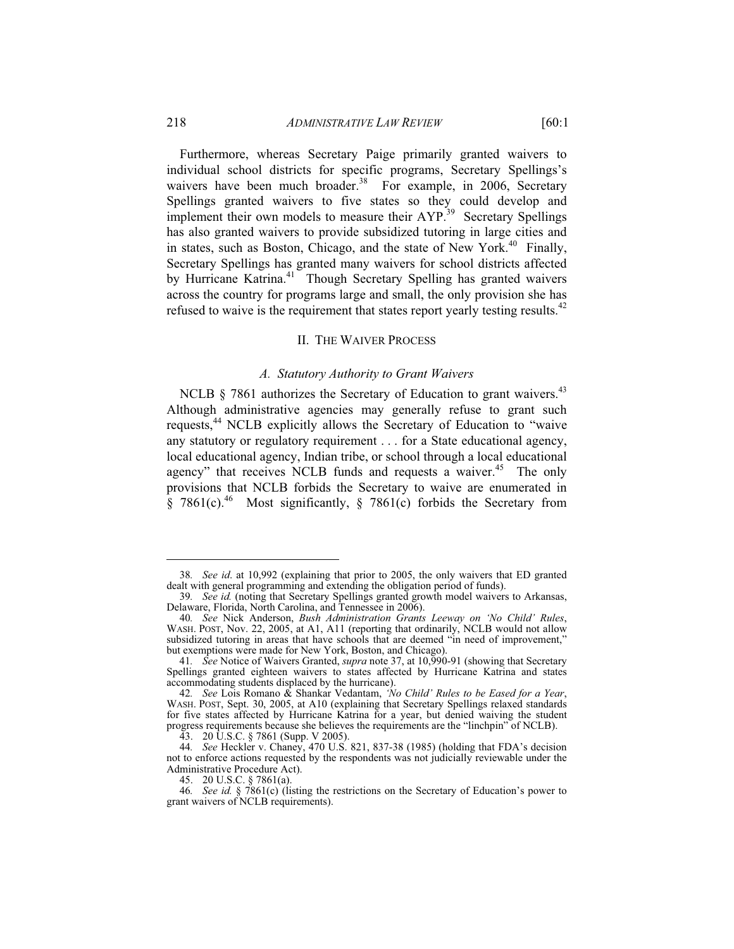# 218 *ADMINISTRATIVE LAW REVIEW* [60:1

Furthermore, whereas Secretary Paige primarily granted waivers to individual school districts for specific programs, Secretary Spellings's waivers have been much broader.<sup>38</sup> For example, in 2006, Secretary Spellings granted waivers to five states so they could develop and implement their own models to measure their AYP.<sup>39</sup> Secretary Spellings has also granted waivers to provide subsidized tutoring in large cities and in states, such as Boston, Chicago, and the state of New York.<sup>40</sup> Finally, Secretary Spellings has granted many waivers for school districts affected by Hurricane Katrina.<sup>41</sup> Though Secretary Spelling has granted waivers across the country for programs large and small, the only provision she has refused to waive is the requirement that states report yearly testing results.<sup>42</sup>

#### II. THE WAIVER PROCESS

# *A. Statutory Authority to Grant Waivers*

NCLB  $\S$  7861 authorizes the Secretary of Education to grant waivers.<sup>43</sup> Although administrative agencies may generally refuse to grant such requests,44 NCLB explicitly allows the Secretary of Education to "waive any statutory or regulatory requirement . . . for a State educational agency, local educational agency, Indian tribe, or school through a local educational agency" that receives NCLB funds and requests a waiver. $45$  The only provisions that NCLB forbids the Secretary to waive are enumerated in § 7861(c).<sup>46</sup> Most significantly, § 7861(c) forbids the Secretary from

45. 20 U.S.C. § 7861(a).

<sup>38</sup>*. See id*. at 10,992 (explaining that prior to 2005, the only waivers that ED granted dealt with general programming and extending the obligation period of funds).

<sup>39</sup>*. See id.* (noting that Secretary Spellings granted growth model waivers to Arkansas, Delaware, Florida, North Carolina, and Tennessee in 2006).

<sup>40</sup>*. See* Nick Anderson, *Bush Administration Grants Leeway on 'No Child' Rules*, WASH. POST, Nov. 22, 2005, at A1, A11 (reporting that ordinarily, NCLB would not allow subsidized tutoring in areas that have schools that are deemed "in need of improvement," but exemptions were made for New York, Boston, and Chicago).

<sup>41</sup>*. See* Notice of Waivers Granted, *supra* note 37, at 10,990-91 (showing that Secretary Spellings granted eighteen waivers to states affected by Hurricane Katrina and states accommodating students displaced by the hurricane).

<sup>42</sup>*. See* Lois Romano & Shankar Vedantam, *'No Child' Rules to be Eased for a Year*, WASH. POST, Sept. 30, 2005, at A10 (explaining that Secretary Spellings relaxed standards for five states affected by Hurricane Katrina for a year, but denied waiving the student progress requirements because she believes the requirements are the "linchpin" of NCLB).

 <sup>43. 20</sup> U.S.C. § 7861 (Supp. V 2005).

<sup>44</sup>*. See* Heckler v. Chaney, 470 U.S. 821, 837-38 (1985) (holding that FDA's decision not to enforce actions requested by the respondents was not judicially reviewable under the Administrative Procedure Act).

<sup>46</sup>*. See id.* § 7861(c) (listing the restrictions on the Secretary of Education's power to grant waivers of NCLB requirements).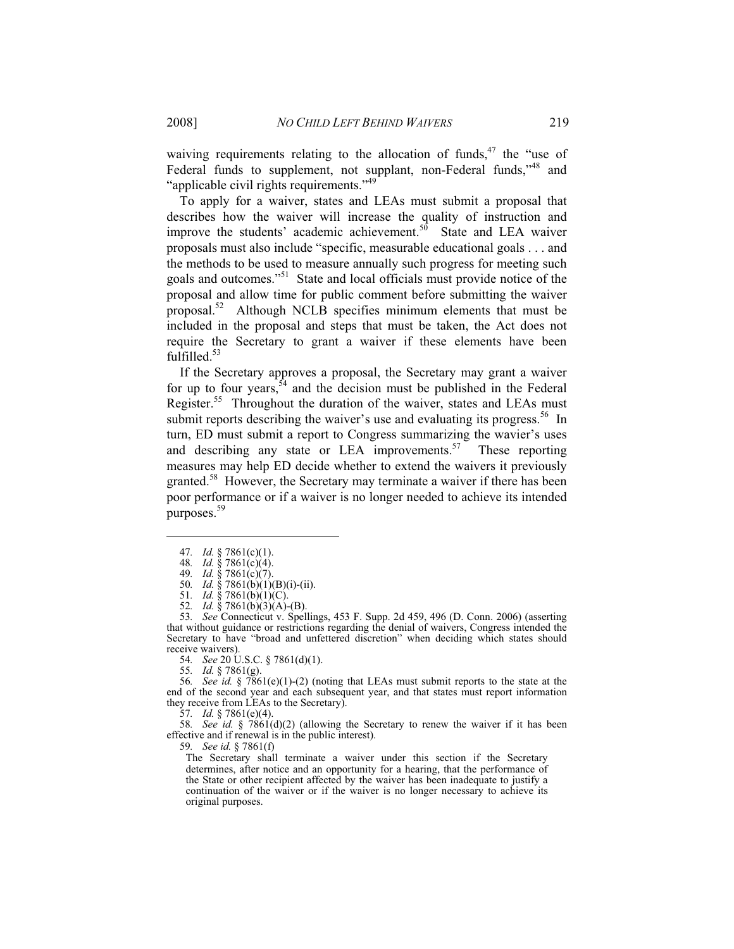waiving requirements relating to the allocation of funds, $47$  the "use of Federal funds to supplement, not supplant, non-Federal funds,<sup>148</sup> and "applicable civil rights requirements."<sup>49</sup>

To apply for a waiver, states and LEAs must submit a proposal that describes how the waiver will increase the quality of instruction and improve the students' academic achievement. $5\hat{0}$  State and LEA waiver proposals must also include "specific, measurable educational goals . . . and the methods to be used to measure annually such progress for meeting such goals and outcomes."51 State and local officials must provide notice of the proposal and allow time for public comment before submitting the waiver proposal.52 Although NCLB specifies minimum elements that must be included in the proposal and steps that must be taken, the Act does not require the Secretary to grant a waiver if these elements have been fulfilled.<sup>53</sup>

If the Secretary approves a proposal, the Secretary may grant a waiver for up to four years,  $54$  and the decision must be published in the Federal Register.<sup>55</sup> Throughout the duration of the waiver, states and LEAs must submit reports describing the waiver's use and evaluating its progress.<sup>56</sup> In turn, ED must submit a report to Congress summarizing the wavier's uses and describing any state or LEA improvements.<sup>57</sup> These reporting measures may help ED decide whether to extend the waivers it previously granted.<sup>58</sup> However, the Secretary may terminate a waiver if there has been poor performance or if a waiver is no longer needed to achieve its intended purposes.<sup>59</sup>

 $\overline{a}$ 

53*. See* Connecticut v. Spellings, 453 F. Supp. 2d 459, 496 (D. Conn. 2006) (asserting that without guidance or restrictions regarding the denial of waivers, Congress intended the Secretary to have "broad and unfettered discretion" when deciding which states should receive waivers).

54*. See* 20 U.S.C. § 7861(d)(1).

55*. Id.* § 7861(g).

56*. See id.* § 7861(e)(1)-(2) (noting that LEAs must submit reports to the state at the end of the second year and each subsequent year, and that states must report information they receive from LEAs to the Secretary).

57*. Id.* § 7861(e)(4).

58. See id. §  $7861(d)(2)$  (allowing the Secretary to renew the waiver if it has been effective and if renewal is in the public interest).

59*. See id.* § 7861(f)

The Secretary shall terminate a waiver under this section if the Secretary determines, after notice and an opportunity for a hearing, that the performance of the State or other recipient affected by the waiver has been inadequate to justify a continuation of the waiver or if the waiver is no longer necessary to achieve its original purposes.

<sup>47</sup>*. Id.* § 7861(c)(1).

<sup>48</sup>*. Id.* § 7861(c)(4).

<sup>49</sup>*. Id.* § 7861(c)(7).

<sup>50</sup>*. Id.* § 7861(b)(1)(B)(i)-(ii).

<sup>51</sup>*. Id.* § 7861(b)(1)(C).

<sup>52</sup>*. Id.* § 7861(b)(3)(A)-(B).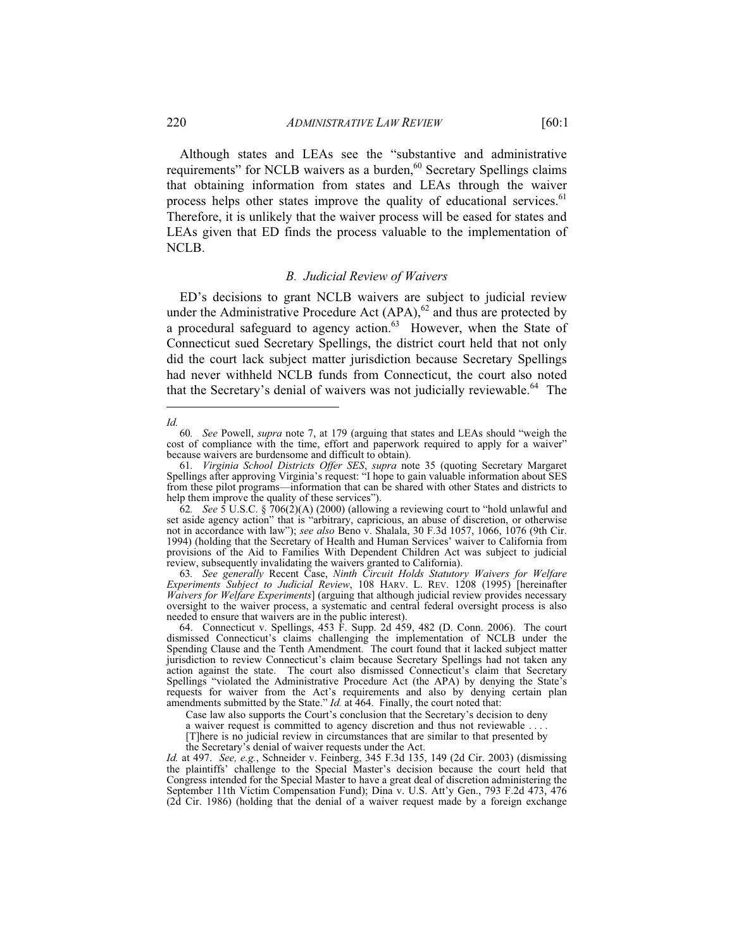Although states and LEAs see the "substantive and administrative requirements" for NCLB waivers as a burden,<sup>60</sup> Secretary Spellings claims that obtaining information from states and LEAs through the waiver process helps other states improve the quality of educational services.<sup>61</sup> Therefore, it is unlikely that the waiver process will be eased for states and LEAs given that ED finds the process valuable to the implementation of NCLB.

### *B. Judicial Review of Waivers*

ED's decisions to grant NCLB waivers are subject to judicial review under the Administrative Procedure Act  $(APA)$ ,  $62$  and thus are protected by a procedural safeguard to agency action.<sup>63</sup> However, when the State of Connecticut sued Secretary Spellings, the district court held that not only did the court lack subject matter jurisdiction because Secretary Spellings had never withheld NCLB funds from Connecticut, the court also noted that the Secretary's denial of waivers was not judicially reviewable.<sup>64</sup> The

Case law also supports the Court's conclusion that the Secretary's decision to deny

a waiver request is committed to agency discretion and thus not reviewable . . . .

the Secretary's denial of waiver requests under the Act.

*Id.* at 497. *See, e.g.*, Schneider v. Feinberg, 345 F.3d 135, 149 (2d Cir. 2003) (dismissing the plaintiffs' challenge to the Special Master's decision because the court held that Congress intended for the Special Master to have a great deal of discretion administering the September 11th Victim Compensation Fund); Dina v. U.S. Att'y Gen., 793 F.2d 473, 476 (2d Cir. 1986) (holding that the denial of a waiver request made by a foreign exchange

 $\overline{a}$ *Id.*

<sup>60</sup>*. See* Powell, *supra* note 7, at 179 (arguing that states and LEAs should "weigh the cost of compliance with the time, effort and paperwork required to apply for a waiver" because waivers are burdensome and difficult to obtain).

<sup>61</sup>*. Virginia School Districts Offer SES*, *supra* note 35 (quoting Secretary Margaret Spellings after approving Virginia's request: "I hope to gain valuable information about SES from these pilot programs—information that can be shared with other States and districts to help them improve the quality of these services").

<sup>62.</sup> See 5 U.S.C. § 706(2)(A) (2000) (allowing a reviewing court to "hold unlawful and set aside agency action" that is "arbitrary, capricious, an abuse of discretion, or otherwise not in accordance with law"); *see also* Beno v. Shalala, 30 F.3d 1057, 1066, 1076 (9th Cir. 1994) (holding that the Secretary of Health and Human Services' waiver to California from provisions of the Aid to Families With Dependent Children Act was subject to judicial review, subsequently invalidating the waivers granted to California).

<sup>63</sup>*. See generally* Recent Case, *Ninth Circuit Holds Statutory Waivers for Welfare Experiments Subject to Judicial Review*, 108 HARV. L. REV. 1208 (1995) [hereinafter *Waivers for Welfare Experiments*] (arguing that although judicial review provides necessary oversight to the waiver process, a systematic and central federal oversight process is also needed to ensure that waivers are in the public interest).

 <sup>64.</sup> Connecticut v. Spellings, 453 F. Supp. 2d 459, 482 (D. Conn. 2006). The court dismissed Connecticut's claims challenging the implementation of NCLB under the Spending Clause and the Tenth Amendment. The court found that it lacked subject matter jurisdiction to review Connecticut's claim because Secretary Spellings had not taken any action against the state. The court also dismissed Connecticut's claim that Secretary Spellings "violated the Administrative Procedure Act (the APA) by denying the State's requests for waiver from the Act's requirements and also by denying certain plan amendments submitted by the State." *Id.* at 464. Finally, the court noted that:

<sup>[</sup>T]here is no judicial review in circumstances that are similar to that presented by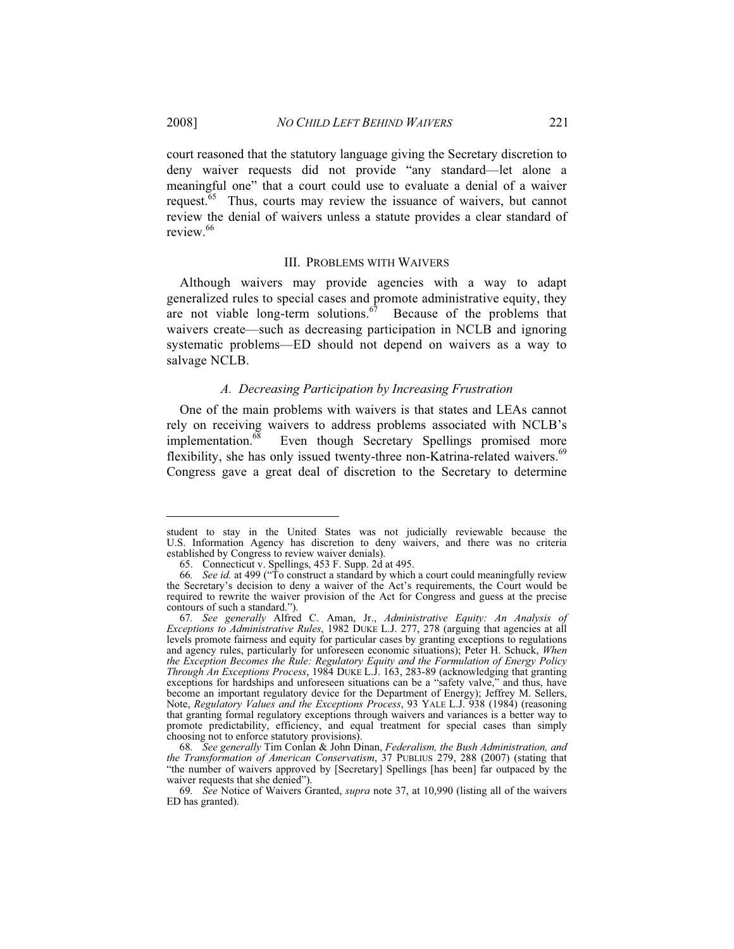court reasoned that the statutory language giving the Secretary discretion to deny waiver requests did not provide "any standard—let alone a meaningful one" that a court could use to evaluate a denial of a waiver request.<sup>65</sup> Thus, courts may review the issuance of waivers, but cannot review the denial of waivers unless a statute provides a clear standard of review.<sup>66</sup>

### III. PROBLEMS WITH WAIVERS

Although waivers may provide agencies with a way to adapt generalized rules to special cases and promote administrative equity, they are not viable long-term solutions. $\overline{67}$  Because of the problems that waivers create—such as decreasing participation in NCLB and ignoring systematic problems—ED should not depend on waivers as a way to salvage NCLB.

# *A. Decreasing Participation by Increasing Frustration*

One of the main problems with waivers is that states and LEAs cannot rely on receiving waivers to address problems associated with NCLB's implementation.<sup>68</sup> Even though Secretary Spellings promised more flexibility, she has only issued twenty-three non-Katrina-related waivers.<sup>69</sup> Congress gave a great deal of discretion to the Secretary to determine

student to stay in the United States was not judicially reviewable because the U.S. Information Agency has discretion to deny waivers, and there was no criteria established by Congress to review waiver denials).

 <sup>65.</sup> Connecticut v. Spellings, 453 F. Supp. 2d at 495.

<sup>66</sup>*. See id.* at 499 ("To construct a standard by which a court could meaningfully review the Secretary's decision to deny a waiver of the Act's requirements, the Court would be required to rewrite the waiver provision of the Act for Congress and guess at the precise contours of such a standard.").

<sup>67</sup>*. See generally* Alfred C. Aman, Jr., *Administrative Equity: An Analysis of Exceptions to Administrative Rules*, 1982 DUKE L.J. 277, 278 (arguing that agencies at all levels promote fairness and equity for particular cases by granting exceptions to regulations and agency rules, particularly for unforeseen economic situations); Peter H. Schuck, *When the Exception Becomes the Rule: Regulatory Equity and the Formulation of Energy Policy Through An Exceptions Process*, 1984 DUKE L.J. 163, 283-89 (acknowledging that granting exceptions for hardships and unforeseen situations can be a "safety valve," and thus, have become an important regulatory device for the Department of Energy); Jeffrey M. Sellers, Note, *Regulatory Values and the Exceptions Process*, 93 YALE L.J. 938 (1984) (reasoning that granting formal regulatory exceptions through waivers and variances is a better way to promote predictability, efficiency, and equal treatment for special cases than simply choosing not to enforce statutory provisions).

<sup>68</sup>*. See generally* Tim Conlan & John Dinan, *Federalism, the Bush Administration, and the Transformation of American Conservatism*, 37 PUBLIUS 279, 288 (2007) (stating that "the number of waivers approved by [Secretary] Spellings [has been] far outpaced by the waiver requests that she denied").

<sup>69</sup>*. See* Notice of Waivers Granted, *supra* note 37, at 10,990 (listing all of the waivers ED has granted).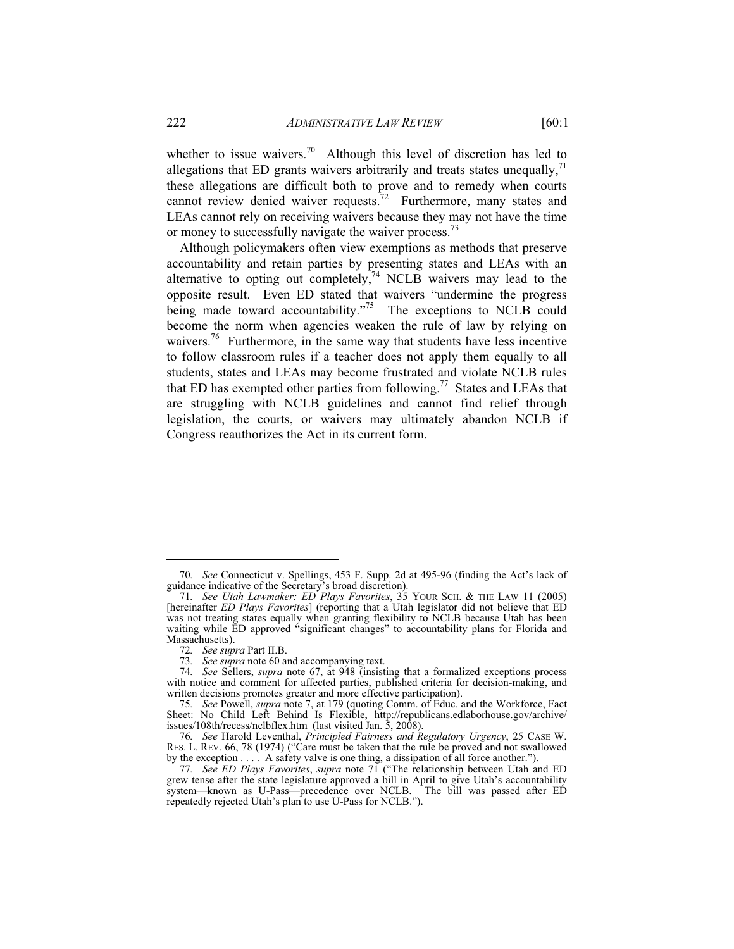whether to issue waivers.<sup>70</sup> Although this level of discretion has led to allegations that ED grants waivers arbitrarily and treats states unequally, $71$ these allegations are difficult both to prove and to remedy when courts cannot review denied waiver requests.<sup>72</sup> Furthermore, many states and LEAs cannot rely on receiving waivers because they may not have the time or money to successfully navigate the waiver process.<sup>73</sup>

Although policymakers often view exemptions as methods that preserve accountability and retain parties by presenting states and LEAs with an alternative to opting out completely, $74$  NCLB waivers may lead to the opposite result. Even ED stated that waivers "undermine the progress being made toward accountability."<sup>75</sup> The exceptions to NCLB could become the norm when agencies weaken the rule of law by relying on waivers.<sup>76</sup> Furthermore, in the same way that students have less incentive to follow classroom rules if a teacher does not apply them equally to all students, states and LEAs may become frustrated and violate NCLB rules that ED has exempted other parties from following.<sup>77</sup> States and LEAs that are struggling with NCLB guidelines and cannot find relief through legislation, the courts, or waivers may ultimately abandon NCLB if Congress reauthorizes the Act in its current form.

<sup>70</sup>*. See* Connecticut v. Spellings, 453 F. Supp. 2d at 495-96 (finding the Act's lack of guidance indicative of the Secretary's broad discretion).

<sup>71</sup>*. See Utah Lawmaker: ED Plays Favorites*, 35 YOUR SCH. & THE LAW 11 (2005) [hereinafter *ED Plays Favorites*] (reporting that a Utah legislator did not believe that ED was not treating states equally when granting flexibility to NCLB because Utah has been waiting while ED approved "significant changes" to accountability plans for Florida and Massachusetts).

<sup>72</sup>*. See supra* Part II.B.

<sup>73</sup>*. See supra* note 60 and accompanying text.

<sup>74</sup>*. See* Sellers, *supra* note 67, at 948 (insisting that a formalized exceptions process with notice and comment for affected parties, published criteria for decision-making, and written decisions promotes greater and more effective participation).

<sup>75</sup>*. See* Powell, *supra* note 7, at 179 (quoting Comm. of Educ. and the Workforce, Fact Sheet: No Child Left Behind Is Flexible, http://republicans.edlaborhouse.gov/archive/ issues/108th/recess/nclbflex.htm (last visited Jan. 5, 2008).

<sup>76</sup>*. See* Harold Leventhal, *Principled Fairness and Regulatory Urgency*, 25 CASE W. RES. L. REV. 66, 78 (1974) ("Care must be taken that the rule be proved and not swallowed by the exception . . . . A safety valve is one thing, a dissipation of all force another.").

<sup>77</sup>*. See ED Plays Favorites*, *supra* note 71 ("The relationship between Utah and ED grew tense after the state legislature approved a bill in April to give Utah's accountability system—known as U-Pass—precedence over NCLB. The bill was passed after ED repeatedly rejected Utah's plan to use U-Pass for NCLB.").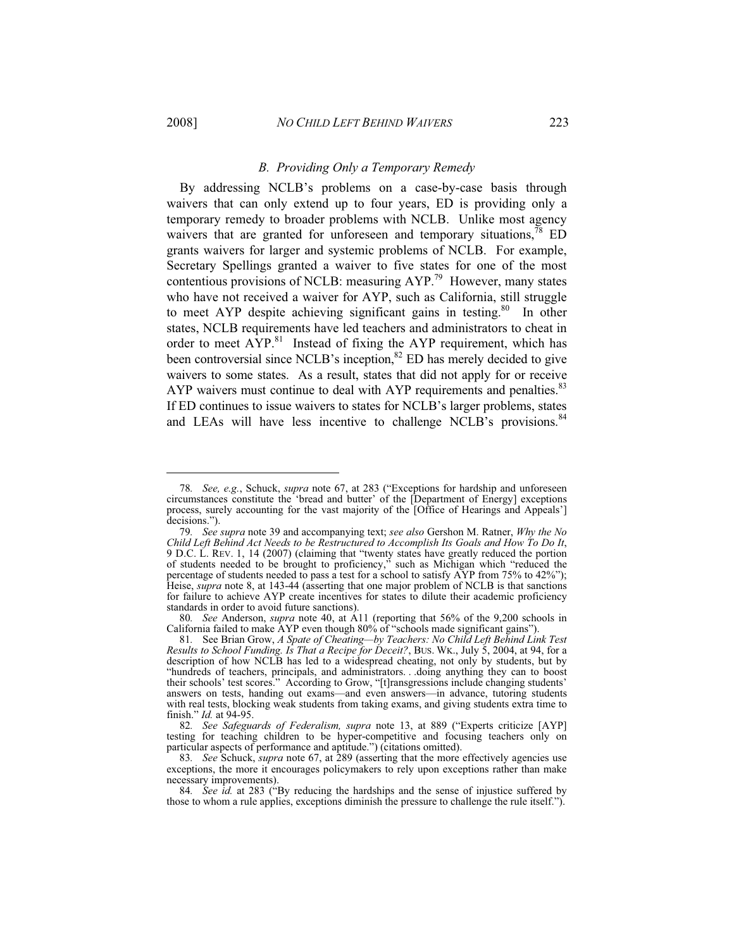-

### *B. Providing Only a Temporary Remedy*

By addressing NCLB's problems on a case-by-case basis through waivers that can only extend up to four years, ED is providing only a temporary remedy to broader problems with NCLB. Unlike most agency waivers that are granted for unforeseen and temporary situations,  $^{78}$  ED grants waivers for larger and systemic problems of NCLB. For example, Secretary Spellings granted a waiver to five states for one of the most contentious provisions of NCLB: measuring  $AYP<sup>79</sup>$  However, many states who have not received a waiver for AYP, such as California, still struggle to meet AYP despite achieving significant gains in testing.<sup>80</sup> In other states, NCLB requirements have led teachers and administrators to cheat in order to meet  $\text{AYP}^{\text{81}}$  Instead of fixing the AYP requirement, which has been controversial since NCLB's inception, ${}^{82}$  ED has merely decided to give waivers to some states. As a result, states that did not apply for or receive AYP waivers must continue to deal with AYP requirements and penalties.<sup>83</sup> If ED continues to issue waivers to states for NCLB's larger problems, states and LEAs will have less incentive to challenge NCLB's provisions.<sup>84</sup>

<sup>78</sup>*. See, e.g.*, Schuck, *supra* note 67, at 283 ("Exceptions for hardship and unforeseen circumstances constitute the 'bread and butter' of the [Department of Energy] exceptions process, surely accounting for the vast majority of the [Office of Hearings and Appeals'] decisions.").

<sup>79</sup>*. See supra* note 39 and accompanying text; *see also* Gershon M. Ratner, *Why the No Child Left Behind Act Needs to be Restructured to Accomplish Its Goals and How To Do It*, 9 D.C. L. REV. 1, 14 (2007) (claiming that "twenty states have greatly reduced the portion of students needed to be brought to proficiency," such as Michigan which "reduced the percentage of students needed to pass a test for a school to satisfy AYP from 75% to 42%"); Heise, *supra* note 8, at 143-44 (asserting that one major problem of NCLB is that sanctions for failure to achieve AYP create incentives for states to dilute their academic proficiency standards in order to avoid future sanctions).

<sup>80</sup>*. See* Anderson, *supra* note 40, at A11 (reporting that 56% of the 9,200 schools in California failed to make AYP even though 80% of "schools made significant gains").

<sup>81</sup>*.* See Brian Grow, *A Spate of Cheating—by Teachers: No Child Left Behind Link Test Results to School Funding. Is That a Recipe for Deceit?*, BUS. WK., July 5, 2004, at 94, for a description of how NCLB has led to a widespread cheating, not only by students, but by "hundreds of teachers, principals, and administrators. . .doing anything they can to boost their schools' test scores." According to Grow, "[t]ransgressions include changing students' answers on tests, handing out exams—and even answers—in advance, tutoring students with real tests, blocking weak students from taking exams, and giving students extra time to finish." *Id.* at 94-95.

<sup>82</sup>*. See Safeguards of Federalism, supra* note 13, at 889 ("Experts criticize [AYP] testing for teaching children to be hyper-competitive and focusing teachers only on particular aspects of performance and aptitude.") (citations omitted).

<sup>83</sup>*. See* Schuck, *supra* note 67, at 289 (asserting that the more effectively agencies use exceptions, the more it encourages policymakers to rely upon exceptions rather than make necessary improvements).

<sup>84</sup>*. See id.* at 283 ("By reducing the hardships and the sense of injustice suffered by those to whom a rule applies, exceptions diminish the pressure to challenge the rule itself.").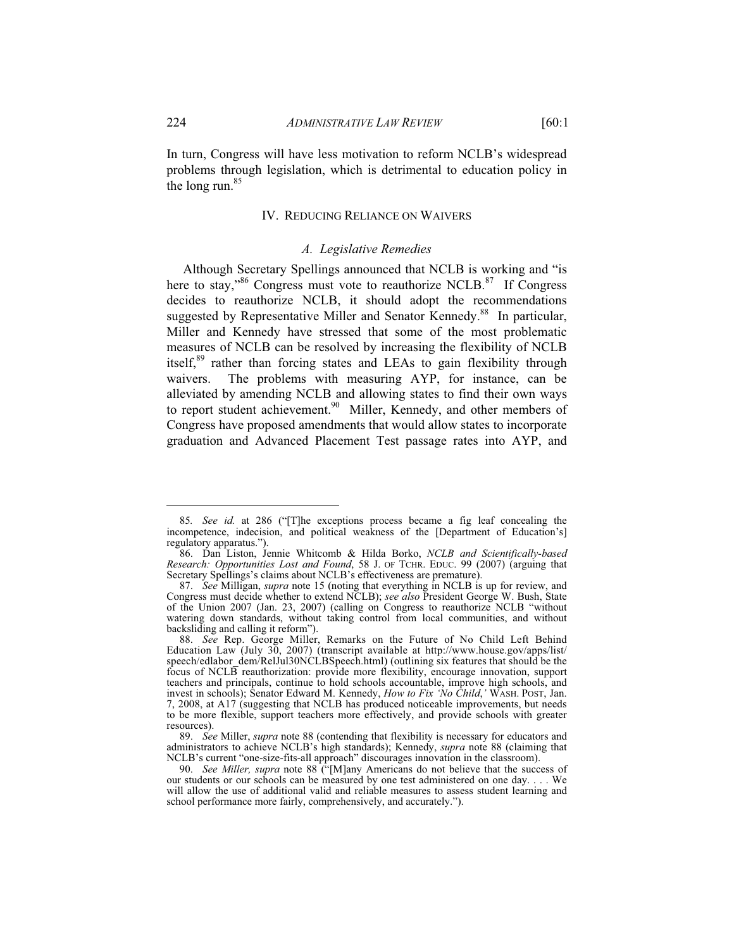In turn, Congress will have less motivation to reform NCLB's widespread problems through legislation, which is detrimental to education policy in the long run.<sup>85</sup>

### IV. REDUCING RELIANCE ON WAIVERS

# *A. Legislative Remedies*

 Although Secretary Spellings announced that NCLB is working and "is here to stay,"<sup>86</sup> Congress must vote to reauthorize NCLB.<sup>87</sup> If Congress decides to reauthorize NCLB, it should adopt the recommendations suggested by Representative Miller and Senator Kennedy.<sup>88</sup> In particular, Miller and Kennedy have stressed that some of the most problematic measures of NCLB can be resolved by increasing the flexibility of NCLB itself,<sup>89</sup> rather than forcing states and LEAs to gain flexibility through waivers. The problems with measuring AYP, for instance, can be alleviated by amending NCLB and allowing states to find their own ways to report student achievement.<sup>90</sup> Miller, Kennedy, and other members of Congress have proposed amendments that would allow states to incorporate graduation and Advanced Placement Test passage rates into AYP, and

<sup>85</sup>*. See id.* at 286 ("[T]he exceptions process became a fig leaf concealing the incompetence, indecision, and political weakness of the [Department of Education's] regulatory apparatus.").

 <sup>86.</sup> Dan Liston, Jennie Whitcomb & Hilda Borko, *NCLB and Scientifically-based Research: Opportunities Lost and Found*, 58 J. OF TCHR. EDUC. 99 (2007) (arguing that Secretary Spellings's claims about NCLB's effectiveness are premature).

<sup>87.</sup> *See* Milligan, *supra* note 15 (noting that everything in NCLB is up for review, and Congress must decide whether to extend NCLB); *see also* President George W. Bush, State of the Union 2007 (Jan. 23, 2007) (calling on Congress to reauthorize NCLB "without watering down standards, without taking control from local communities, and without backsliding and calling it reform").

 <sup>88.</sup> *See* Rep. George Miller, Remarks on the Future of No Child Left Behind Education Law (July 30, 2007) (transcript available at http://www.house.gov/apps/list/ speech/edlabor\_dem/RelJul30NCLBSpeech.html) (outlining six features that should be the focus of NCLB reauthorization: provide more flexibility, encourage innovation, support teachers and principals, continue to hold schools accountable, improve high schools, and invest in schools); Senator Edward M. Kennedy, *How to Fix 'No Child*,*'* WASH. POST, Jan. 7, 2008, at A17 (suggesting that NCLB has produced noticeable improvements, but needs to be more flexible, support teachers more effectively, and provide schools with greater resources).

 <sup>89.</sup> *See* Miller, *supra* note 88 (contending that flexibility is necessary for educators and administrators to achieve NCLB's high standards); Kennedy, *supra* note 88 (claiming that NCLB's current "one-size-fits-all approach" discourages innovation in the classroom).

 <sup>90.</sup> *See Miller, supra* note 88 ("[M]any Americans do not believe that the success of our students or our schools can be measured by one test administered on one day. . . . We will allow the use of additional valid and reliable measures to assess student learning and school performance more fairly, comprehensively, and accurately.").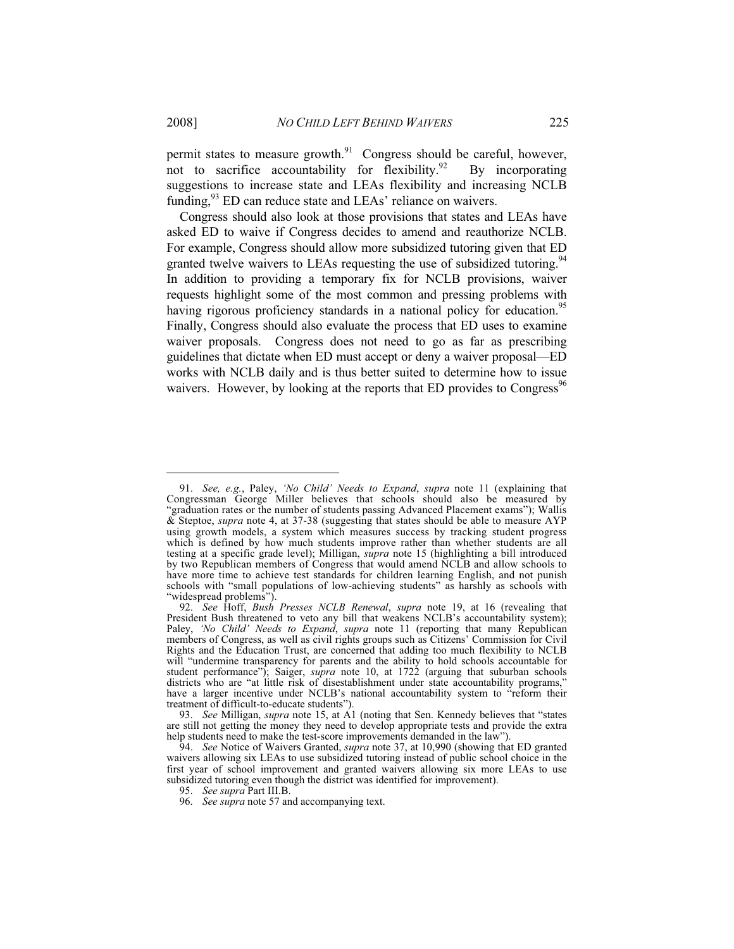permit states to measure growth. $91$  Congress should be careful, however, not to sacrifice accountability for flexibility. $92$  By incorporating suggestions to increase state and LEAs flexibility and increasing NCLB funding,<sup>93</sup> ED can reduce state and LEAs' reliance on waivers.

 Congress should also look at those provisions that states and LEAs have asked ED to waive if Congress decides to amend and reauthorize NCLB. For example, Congress should allow more subsidized tutoring given that ED granted twelve waivers to LEAs requesting the use of subsidized tutoring.<sup>94</sup> In addition to providing a temporary fix for NCLB provisions, waiver requests highlight some of the most common and pressing problems with having rigorous proficiency standards in a national policy for education.<sup>95</sup> Finally, Congress should also evaluate the process that ED uses to examine waiver proposals. Congress does not need to go as far as prescribing guidelines that dictate when ED must accept or deny a waiver proposal—ED works with NCLB daily and is thus better suited to determine how to issue waivers. However, by looking at the reports that ED provides to Congress<sup>96</sup>

 <sup>91.</sup> *See, e.g.*, Paley, *'No Child' Needs to Expand*, *supra* note 11 (explaining that Congressman George Miller believes that schools should also be measured by "graduation rates or the number of students passing Advanced Placement exams"); Wallis & Steptoe, *supra* note 4, at 37-38 (suggesting that states should be able to measure AYP using growth models, a system which measures success by tracking student progress which is defined by how much students improve rather than whether students are all testing at a specific grade level); Milligan, *supra* note 15 (highlighting a bill introduced by two Republican members of Congress that would amend NCLB and allow schools to have more time to achieve test standards for children learning English, and not punish schools with "small populations of low-achieving students" as harshly as schools with "widespread problems").

 <sup>92.</sup> *See* Hoff, *Bush Presses NCLB Renewal*, *supra* note 19, at 16 (revealing that President Bush threatened to veto any bill that weakens NCLB's accountability system); Paley, *'No Child' Needs to Expand*, *supra* note 11 (reporting that many Republican members of Congress, as well as civil rights groups such as Citizens' Commission for Civil Rights and the Education Trust, are concerned that adding too much flexibility to NCLB will "undermine transparency for parents and the ability to hold schools accountable for student performance"); Saiger, *supra* note 10, at 1722 (arguing that suburban schools districts who are "at little risk of disestablishment under state accountability programs," have a larger incentive under NCLB's national accountability system to "reform their treatment of difficult-to-educate students").

 <sup>93.</sup> *See* Milligan, *supra* note 15, at A1 (noting that Sen. Kennedy believes that "states are still not getting the money they need to develop appropriate tests and provide the extra help students need to make the test-score improvements demanded in the law").

 <sup>94.</sup> *See* Notice of Waivers Granted, *supra* note 37, at 10,990 (showing that ED granted waivers allowing six LEAs to use subsidized tutoring instead of public school choice in the first year of school improvement and granted waivers allowing six more LEAs to use subsidized tutoring even though the district was identified for improvement).

 <sup>95.</sup> *See supra* Part III.B.

 <sup>96.</sup> *See supra* note 57 and accompanying text.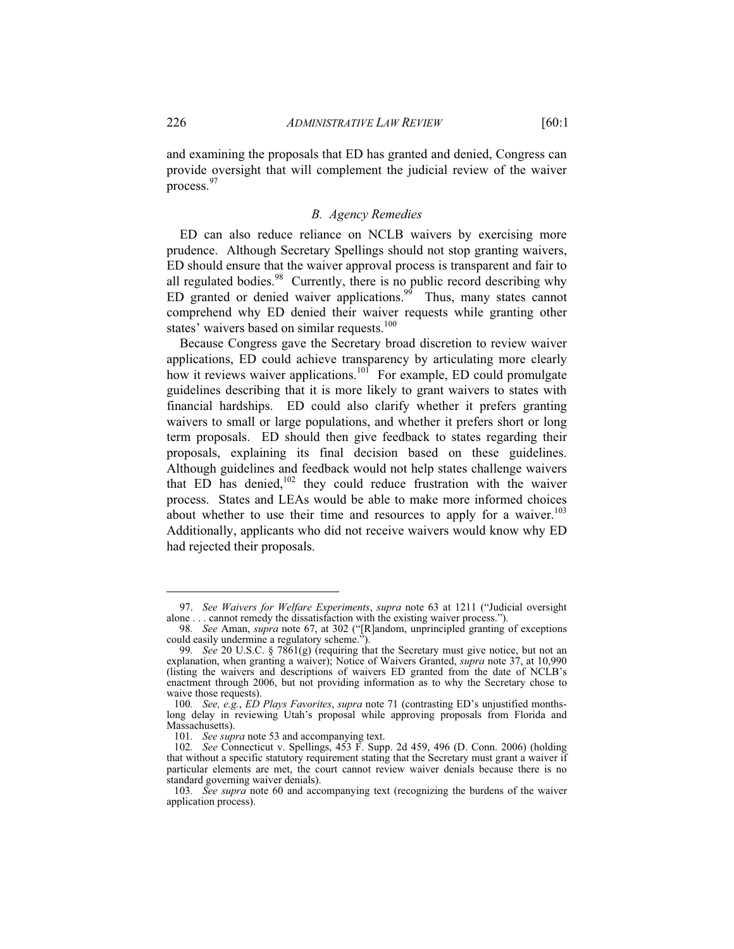### *B. Agency Remedies*

ED can also reduce reliance on NCLB waivers by exercising more prudence. Although Secretary Spellings should not stop granting waivers, ED should ensure that the waiver approval process is transparent and fair to all regulated bodies. $98$  Currently, there is no public record describing why ED granted or denied waiver applications.<sup>99</sup> Thus, many states cannot comprehend why ED denied their waiver requests while granting other states' waivers based on similar requests.<sup>100</sup>

Because Congress gave the Secretary broad discretion to review waiver applications, ED could achieve transparency by articulating more clearly how it reviews waiver applications.<sup>101</sup> For example, ED could promulgate guidelines describing that it is more likely to grant waivers to states with financial hardships. ED could also clarify whether it prefers granting waivers to small or large populations, and whether it prefers short or long term proposals. ED should then give feedback to states regarding their proposals, explaining its final decision based on these guidelines. Although guidelines and feedback would not help states challenge waivers that ED has denied, $102$  they could reduce frustration with the waiver process. States and LEAs would be able to make more informed choices about whether to use their time and resources to apply for a waiver.<sup>103</sup> Additionally, applicants who did not receive waivers would know why ED had rejected their proposals.

-

process.<sup>97</sup>

 <sup>97.</sup> *See Waivers for Welfare Experiments*, *supra* note 63 at 1211 ("Judicial oversight alone . . . cannot remedy the dissatisfaction with the existing waiver process.").

<sup>98</sup>*. See* Aman, *supra* note 67, at 302 ("[R]andom, unprincipled granting of exceptions could easily undermine a regulatory scheme.").

<sup>99</sup>*. See* 20 U.S.C. § 7861(g) (requiring that the Secretary must give notice, but not an explanation, when granting a waiver); Notice of Waivers Granted, *supra* note 37, at 10,990 (listing the waivers and descriptions of waivers ED granted from the date of NCLB's enactment through 2006, but not providing information as to why the Secretary chose to waive those requests).

<sup>100</sup>*. See, e.g.*, *ED Plays Favorites*, *supra* note 71 (contrasting ED's unjustified monthslong delay in reviewing Utah's proposal while approving proposals from Florida and Massachusetts).

<sup>101</sup>*. See supra* note 53 and accompanying text.

<sup>102</sup>*. See* Connecticut v. Spellings, 453 F. Supp. 2d 459, 496 (D. Conn. 2006) (holding that without a specific statutory requirement stating that the Secretary must grant a waiver if particular elements are met, the court cannot review waiver denials because there is no standard governing waiver denials).

<sup>103</sup>*. See supra* note 60 and accompanying text (recognizing the burdens of the waiver application process).